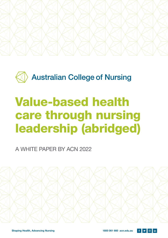

**Australian College of Nursing** 

# Value-based health care through nursing leadership (abridged)

A WHITE PAPER BY ACN 2022



 $\circ$  in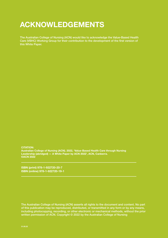### ACKNOWLEDGEMENTS

The Australian College of Nursing (ACN) would like to acknowledge the Value-Based Health Care (VBHC) Working Group for their contribution to the development of the first version of this White Paper.

CITATION: Australian College of Nursing (ACN). 2022, 'Value-Based Health Care through Nursing Leadership (abridged) — A White Paper by ACN 2022', ACN, Canberra. ©ACN 2022

ISBN (print) 978-1-922720-20-7 ISBN (online) 978-1-922720-19-1

The Australian College of Nursing (ACN) asserts all rights to the document and content. No part of this publication may be reproduced, distributed, or transmitted in any form or by any means, including photocopying, recording, or other electronic or mechanical methods, without the prior written permission of ACN. Copyright © 2022 by the Australian College of Nursing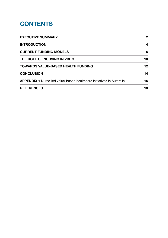### **CONTENTS**

| <b>EXECUTIVE SUMMARY</b>                                                    | $\mathbf{2}$ |
|-----------------------------------------------------------------------------|--------------|
| <b>INTRODUCTION</b>                                                         | 4            |
| <b>CURRENT FUNDING MODELS</b>                                               | 5            |
| THE ROLE OF NURSING IN VBHC                                                 | 10           |
| <b>TOWARDS VALUE-BASED HEALTH FUNDING</b>                                   | 12           |
| <b>CONCLUSION</b>                                                           | 14           |
| <b>APPENDIX 1</b> Nurse-led value-based healthcare initiatives in Australia | 15           |
| <b>REFERENCES</b>                                                           | 18           |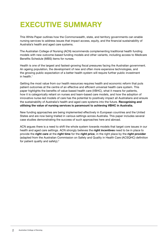### EXECUTIVE SUMMARY

This White Paper outlines how the Commonwealth, state, and territory governments can enable nursing services to address issues that impact access, equity, and the financial sustainability of Australia's health and aged care systems.

The Australian College of Nursing (ACN) recommends complementing traditional health funding models with new outcome-based funding models and other variants, including access to Medicare Benefits Schedule (MBS) items for nurses.

Health is one of the largest and fastest-growing fiscal pressures facing the Australian government. An ageing population, the development of new and often more expensive technologies, and the growing public expectation of a better health system will require further public investment in health.1

Getting the most value from our health resources requires health and economic reform that puts patient outcomes at the centre of an effective and efficient universal health care system. This paper highlights the benefits of value-based health care (VBHC), what it means for patients, how it is categorically reliant on nurses and team-based care models, and how the adoption of innovative nurse-led models of care has the potential to positively impact all Australians and ensure the sustainability of Australia's health and aged care systems into the future. Recognising and utilising the value of nursing services is paramount to achieving VBHC in Australia.

New funding approaches are being implemented effectively in European countries and the United States and are now being trialled in various settings across Australia. This paper includes several case studies demonstrating the success of such approaches here and abroad.

ACN argues there is a need to shift the whole system towards models that target core issues in our health and aged care settings. ACN strongly believes the right incentives need to be in place to provide the right care at the right time for the right price, in the right place by the right provider (adapted from the Australian Commission on Safety and Quality in Health Care (ACSQHC) definition for patient quality and safety). $2$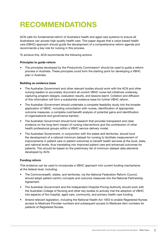## RECOMMENDATIONS

ACN calls for fundamental reform of Australia's health and aged care systems to ensure all Australians can access high-quality health care. This paper argues that a value-based health care (VBHC) approach should guide the development of a comprehensive reform agenda and recommends a key role for nursing in this process.

To achieve this, ACN recommends the following actions:

#### Principles to guide reform

• The principles developed by the Productivity Commission<sup>3</sup> should be used to guide a reform process in Australia. These principles could form the starting point for developing a VBHC plan in Australia.

#### Building an evidence base

- The Australian Government and other relevant bodies should work with the ACN and other nursing leaders to accurately document all current VBHC nurse-led initiatives underway, capturing program designs, evaluation results, and lessons learnt. Collation and diffusion of this information will form a substantial evidence base for further VBHC reform.
- The Australian Government should undertake a complete feasibility study into the broader application of VBHC, including consultation with nurses, identification of appropriate outcome measures, a complete cost/benefit analysis of potential gains and identification of organisational and governance barriers.
- The Australian Government should fund research that provides transparent and clear evidence on the long-term impact of nursing interventions and the contribution of other health professional groups within a VBHC service delivery model.
- The Australian Government, in conjunction with the states and territories, should fund the development of a national minimum dataset for nursing to facilitate measurement of improvements in patient care or patient outcomes to benefit health services at the local, state, and national levels, thus translating into improved patient care and enhanced outcomes for patients. This should be based on the preliminary list of minimum dataset data elements developed by ACN.

#### Funding reform

This evidence can be used to incorporate a VBHC approach into current funding mechanisms at the federal level, including:

- The Commonwealth, states, and territories, via the National Federation Reform Council, should adopt patient-centric concepts and outcome measures into the National Partnership Agreement.
- The Australian Government and the Independent Hospital Pricing Authority should work with the Australian College of Nursing and other key bodies to actively trial the adoption of VBHC into aspects of the hospital, aged care, community, and primary health care funding.
- Amend relevant legislation, including the National Health Act 1953 to enable Registered Nurses access to Medicare Provider numbers and subsequent access to Medicare item numbers for patients of Registered Nurses.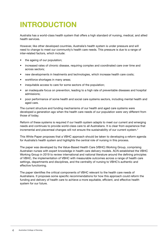# INTRODUCTION

Australia has a world-class health system that offers a high standard of nursing, medical, and allied health services.

However, like other developed countries, Australia's health system is under pressure and will need to change to meet our community's health care needs. This pressure is due to a range of inter-related factors, which include:

- the ageing of our population;
- increased rates of chronic disease, requiring complex and coordinated care over time and across sectors;
- new developments in treatments and technologies, which increase health care costs;
- workforce shortages in many areas;
- inequitable access to care for some sectors of the population;
- an inadequate focus on prevention, leading to a high rate of preventable diseases and hospital admissions;
- poor performance of some health and social care systems sectors, including mental health and aged care.

The current structure and funding mechanisms of our health and aged care systems were developed a generation ago when the health care needs of our population were very different from those of today.

Reform of these systems is required if our health system adapts to meet our current and emerging needs and continues to provide world-class care to all Australians. It is clear from experience that incremental and piecemeal changes will not ensure the sustainability of our current system.<sup>4</sup>

This White Paper proposes that a VBHC approach should be taken to developing a reform agenda for Australia's health system and highlights the central role of nursing in this process.

The paper was developed by the Value-Based Health Care (VBHC) Working Group, comprising Australian nurses with expert knowledge in health care delivery models. ACN established the VBHC Working Group in 2019 to review international and national literature around the defining principles of VBHC, the implementation of VBHC with measurable outcomes across a range of health care settings, departments and disciplines, and the centrality of nursing to VBHC's authentic and effective functioning.

The paper identifies the critical components of VBHC relevant to the health care needs of Australians. It proposes some specific recommendations for how this approach could reform the funding and delivery of health care to achieve a more equitable, efficient, and effective health system for our future.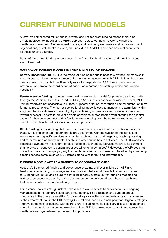### CURRENT FUNDING MODELS

Australia's complicated mix of public, private, and not-for-profit funding means there is no simple approach to introducing a VBHC approach across our health system. Funding for health care comes from Commonwealth, state, and territory governments and non-government organisations, private health insurers, and individuals. A VBHC approach has implications for all these funding sources.

Some of the central funding models used in the Australian health system and their limitations are outlined below.

#### AUSTRALIAN FUNDING MODELS IN THE HEALTH SECTOR INCLUDE:

Activity-based funding (ABF) is the model of funding for public hospitals by the Commonwealth through state and territory governments. The fundamental concern with ABF within an integrated care framework is that its incentives only relate to hospital care. ABF does not encourage prevention and limits the coordination of patient care across care settings inside and outside hospitals.<sup>5</sup>

Fee-for-service funding is the dominant health care funding model for primary care in Australia through the Medicare Benefits Schedule (MBS).<sup>6</sup> As nurses do not have provider numbers, MBS item numbers are not accessible to nurses in general practice, other than a limited number of items for nurse practitioners. The fee-for-service funding model is easy to manage and administer within a system that incentivises accessibility (by incentivising volume of care). However, it does not reward successful efforts to prevent chronic conditions or stop people from entering the hospital system.<sup>7</sup> It has been suggested that fee-for-service funding contributes to the fragmentation of care<sup>8</sup> between health professionals and service providers.

Block funding is a periodic global lump sum payment independent of the number of patients treated. It is implemented through grants provided by the Commonwealth to the states and territories to fund specific services or activities such as small rural hospitals, teaching, training and research, non-admitted mental health, and other public health activities. The 2020 Workforce Incentive Payment (WIP) is a form of block funding described by Services Australia as payment that "provides incentives to general practices which employ nurses".9 However, the WIP does not cover the total cost of employing eligible health professionals and needs to be offset by combining specific service items, such as MBS items paid to GPs for nursing interventions.

#### FUNDING MODELS ACT AS A BARRIER TO COORDINATED CARE

Australia's fragmented funding and governance systems, and over-reliance on ABF and fee-for-service funding, discourage service provision that would provide the best outcomes for expenditure. By driving a supply-centric healthcare system, current funding models and budget silos encourage activity but create barriers to the delivery of team-based healthcare that ensures patient-centred continuity of care.

For instance, patients at high risk of heart disease would benefit from education and ongoing management in the primary health care (PHC) setting. This education and support should commence in the acute care setting following diagnosis with constant revision and management of their treatment plan in the PHC setting. Several evidence-based non-pharmacological strategies improve outcomes for patients with heart failure, including multidisciplinary disease management, nurse-led medication titration and exercise training.10 This requires continuity of care across the health care settings between acute and PHC providers.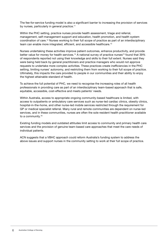The fee-for-service funding model is also a significant barrier to increasing the provision of services by nurses, particularly in general practice.<sup>11</sup>

Within the PHC setting, practice nurses provide health assessment, triage and referral, management, self-management support and education, health promotion, and health system coordination of care.12 Nurses working to their full scope of practice as part of an interdisciplinary team can enable more integrated, efficient, and accessible healthcare.<sup>13</sup>

Nurses undertaking these activities improve patient outcomes, enhance productivity, and provide better value for money for health services.<sup>14</sup> A national survey of practice nurses<sup>15</sup> found that 39% of respondents reported not using their knowledge and skills to their full extent. Nurses said they were being held back by general practitioners and practice managers who would not approve requests to undertake more complex activities. These practices create inefficiencies in the PHC setting, limiting nurses' autonomy, and restricting them from working to their full scope of practice. Ultimately, this impacts the care provided to people in our communities and their ability to enjoy the highest attainable standard of health.

To achieve the full potential of PHC, we need to recognise the increasing roles of all health professionals in providing care as part of an interdisciplinary team-based approach that is safe, equitable, accessible, cost-effective and meets patients' needs.

Within Australia, access to appropriate ongoing community-based healthcare is limited, with access to outpatients or ambulatory care services such as nurse-led cardiac clinics, obesity clinics, hospital-in-the-home, and other nurse-led mobile services restricted through the requirement for GP or medical specialist referral. Many rural and remote communities are dependent on nurse-led services, and in these communities, nurses are often the sole resident health practitioner available to a community.16

Existing funding models and outdated attitudes limit access to community and primary health care services and the provision of genuine team-based care approaches that meet the care needs of individual patients.

ACN suggests that a VBHC approach could reform Australia's funding system to address the above issues and support nurses in the community setting to work at their full scope of practice.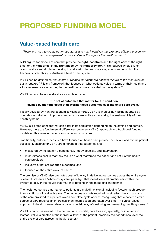### PROPOSED FUNDING MODEL

### Value-based health care

*"There is a need to create better structures and new incentives that promote efficient prevention and management of chronic illness throughout the health system."17*

ACN argues for models of care that provide the right incentives and the right care at the right time for the right price, in the right place by the right provider.<sup>18</sup> This requires whole system reform and a central role for nursing in addressing issues of access, equity and ensuring the financial sustainability of Australia's health care system.

VBHC can be defined as *"the health outcomes that matter to patients relative to the resources or costs required".*19 It is a framework that focuses on what patients value in terms of their health and allocates resources according to the health outcomes provided by the system.20

VBHC can also be understood as a simple equation:

#### The set of outcomes that matter for the condition divided by the total costs of delivering these outcomes over the entire care cycle.<sup>21</sup>

Initially devised by Harvard economist Michael Porter, VBHC is increasingly being adopted by countries worldwide to improve standards of care while also ensuring the sustainability of their health systems.

VBHC is a broad concept that can differ in its application depending on the setting and context. However, there are fundamental differences between a VBHC approach and traditional funding models on this value equation's outcome and cost sides.

Traditionally, outcome measures have focused on health care provider behaviour and overall patient success. Measures for VBHC are different in that outcomes are:

- measured by the patient's condition(s), not by specialty and intervention;
- multi-dimensional in that they focus on what matters to the patient and not just the health care provider;
- inclusive of patient-reported outcomes; and
- focused on the entire cycle of care.<sup>22</sup>

The premise of VBHC also promotes cost efficiency in delivering outcomes across the entire cycle of care. It presents a 'whole-of-system' paradigm that incentivises all practitioners within the system to deliver the results that matter to patients in the most efficient manner.

The health outcomes that matter to patients are multidimensional, including factors much broader than traditional clinical indicators. The resources or costs required must reflect the actual costs of the care provided to a patient over a complete cycle of care, recognising that a patient's entire course of care requires an interdisciplinary team-based approach over time. The value-based approach to health care enables a patient-centric way of designing and managing health systems.<sup>23</sup>

VBHC is not to be viewed in the context of a hospital, care location, specialty, or intervention. Instead, value is created at the individual level of the patient, precisely their conditions, over the entire cycle of care across the health sector.<sup>24</sup>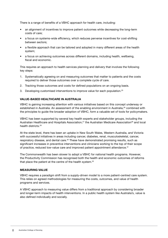There is a range of benefits of a VBHC approach for health care, including:

- an alignment of incentives to improve patient outcomes while decreasing the long-term costs of care;
- a focus on systems-wide efficiency, which reduces perverse incentives for cost-shifting between sectors;
- a flexible approach that can be tailored and adopted in many different areas of the health system;
- a focus on achieving outcomes across different domains, including health, wellbeing, fiscal and economic.

This requires an approach to health services planning and delivery that involves the following key steps:

- 1. Systematically agreeing on and measuring outcomes that matter to patients and the costs required to deliver those outcomes over a complete cycle of care.
- 2. Tracking those outcomes and costs for defined populations on an ongoing basis.
- 3. Developing customised interventions to improve value for each population.<sup>25</sup>

#### VALUE-BASED HEALTHCARE IN AUSTRALIA

VBHC is gaining increasing attention with various initiatives based on this concept underway or established in Australia. An assessment of the enabling environment in Australia,<sup>26</sup> combined with the principles to guide the broader adoption of VBHC, form a valuable set of tools for policymakers.

VBHC has been supported by several key health experts and stakeholder groups, including the Australian Healthcare and Hospitals Association,<sup>27</sup> the Australian Medicare Association<sup>28</sup> and local health districts<sup>29</sup>

At the state level, there has been an uptake in New South Wales, Western Australia, and Victoria with successful initiatives in areas including cancer, diabetes, renal, musculoskeletal, cancer, respiratory disease, and dental care.<sup>30</sup> These have demonstrated promising results, such as significant increases in preventive interventions and clinicians working to the top of their scope of practice, reduced low-value care and improved patient appointment attendance.<sup>31</sup>

The Commonwealth has been slower to adopt a VBHC for national health programs. However, the Productivity Commission has recognised both the health and economic outcomes of reforms that place the patient at the centre of the health system.<sup>32</sup>

#### MEASURING VALUE

VBHC requires a paradigm shift from a supply-driven model to a more patient-centred care system. This relies on agreed methodologies for measuring the costs, outcomes, and value of health programs and services.

A VBHC approach to measuring value differs from a traditional approach by considering broader and longer-term impacts of health interventions. In a public health system like Australia's, value is also defined individually and socially.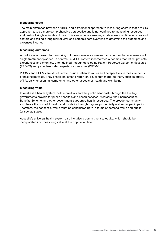#### Measuring costs

The main difference between a VBHC and a traditional approach to measuring costs is that a VBHC approach takes a more comprehensive perspective and is not confined to measuring resources and costs of single episodes of care. This can include assessing costs across multiple services and sectors and taking a longitudinal view of a person's care over time to determine the outcomes and expenses incurred.

#### Measuring outcomes

A traditional approach to measuring outcomes involves a narrow focus on the clinical measures of single treatment episodes. In contrast, a VBHC system incorporates outcomes that reflect patients' experiences and priorities, often defined through developing Patient Reported Outcome Measures (PROMS) and patient-reported experience measures (PREMs).

PROMs and PREMs are structured to include patients' values and perspectives in measurements of healthcare value. They enable patients to report on issues that matter to them, such as quality of life, daily functioning, symptoms, and other aspects of health and well-being.

#### Measuring value

In Australia's health system, both individuals and the public bear costs through the funding governments provide for public hospitals and health services, Medicare, the Pharmaceutical Benefits Scheme, and other government-supported health resources. The broader community also bears the cost of ill health and disability through forgone productivity and social participation. Therefore, the concept of value must be considered both in terms of personal value and public (or societal) value.

Australia's universal health system also includes a commitment to equity, which should be incorporated into measuring value at the population level.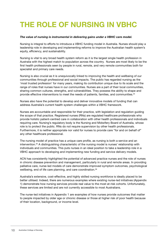## THE ROLE OF NURSING IN VBHC

#### *The value of nursing is instrumental in delivering gains under a VBHC care model.*

Nursing is integral to efforts to introduce a VBHC funding model in Australia. Nurses should play a leadership role in developing and implementing reforms to improve the Australian health system's equity, efficiency, and sustainability.

Nursing is vital to any broad health system reform as it is the largest single health profession in Australia with the highest match to population across the country. Nurses are most likely to be the first health professionals seen by people in rural, remote, and very remote communities both for specialist and primary care needs.

Nursing is also crucial as it is unequivocally linked to improving the health and wellbeing of our communities through professional and social impacts. The public has regarded nursing as the 'most trusted profession' for many years, making its contribution unique due to its scale and the range of roles that nurses have in our communities. Nurses are a part of their local communities, sharing common cultures, strengths, and vulnerabilities. They possess the ability to shape and provide effective interventions to meet the needs of patients, families, and communities.34

Nurses also have the potential to develop and deliver innovative models of funding that can address Australia's current health system challenges within a VBHC framework.

Nurses are accountable and responsible for their practice, with legislation and regulation guiding the scope of that practice. Registered nurses (RNs) are regulated healthcare professionals who provide holistic patient-centred care in collaboration with other health professionals and individuals requiring care. Nursing's regulatory body is the Nursing and Midwifery Board of Australia, whose role is to protect the public. RNs do not require supervision by other health professionals. Furthermore, it is neither appropriate nor valid for nurses to provide care "for and on behalf of" any other healthcare professional.

The nursing model of practice has a unique care profile, as nursing is both a service and an intervention.35 A distinguishing characteristic of the nursing model is nurses' relationship with individuals and communities. This puts nurses in an ideal position to take a leadership role in a VBHC approach to developing and implementing new funding and service delivery models.

ACN has consistently highlighted the potential of advanced practice nurses and the role of nurses in chronic disease prevention and management, particularly in rural and remote areas. In providing palliative care, nurse-led models of care demonstrate improved symptom outcomes, psychological wellbeing, end of life care planning, and care coordination.<sup>36</sup>

Australia's extensive, cost-effective, and highly skilled nursing workforce is ideally placed to be better utilised. Indeed, there are numerous examples where existing nurse-led initiatives (Appendix 1) demonstrate how nursing services provide real value to the most at-risk cohorts. Unfortunately, these services are limited and are not currently accessible to most Australians.

The nurse-led initiatives in Appendix 1 are examples of how nurses provide outcomes that matter to people impacted by older age or chronic disease or those at higher risk of poor health because of their location, background, or income level.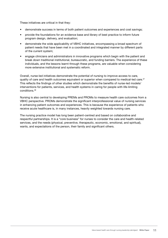These initiatives are critical in that they:

- demonstrate success in terms of both patient outcomes and experiences and cost savings;
- provide the foundations for an evidence base and library of best practice to inform future program design, delivery, and evaluation;
- demonstrate the wide applicability of VBHC initiatives, encompassing a broad spectrum of patient needs that have been met in a coordinated and integrated manner by different parts of the current system;
- engage clinicians and administrators in innovative programs which begin with the patient and break down traditional institutional, bureaucratic, and funding barriers. The experience of these individuals, and the lessons learnt through these programs, are valuable when considering more extensive institutional and systematic reform.

Overall, nurse-led initiatives demonstrate the potential of nursing to improve access to care, quality of care and health outcomes equivalent or superior when compared to medical-led care.<sup>37</sup> This reflects the findings of other studies which demonstrate the benefits of nurse-led models/ interventions for patients, services, and health systems in caring for people with life-limiting conditions.38

Nursing is also central to developing PREMs and PROMs to measure health care outcomes from a VBHC perspective. PROMs demonstrate the significant interprofessional value of nursing services in enhancing patient outcomes and experiences. This is because the experience of patients who receive acute healthcare is, in many instances, heavily weighted towards nursing care.

The nursing practice model has long been patient-centred and based on collaborative and respectful partnerships. It is a "core business" for nurses to consider the care and health-related services, and the needs (physical, preventive, therapeutic, economic, emotional, and spiritual), wants, and expectations of the person, their family and significant others.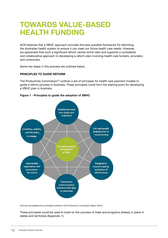### TOWARDS VALUE-BASED HEALTH FUNDING

ACN believes that a VBHC approach provides the best possible framework for reforming the Australian health system to ensure it can meet our future health care needs. However, we appreciate that such a significant reform carries some risks and supports a considered and collaborative approach to developing a reform plan involving health care funders, providers, and consumers.

Some key steps in this process are outlined below.

#### PRINCIPLES TO GUIDE REFORM

The Productivity Commission<sup>39</sup> outlines a set of principles for health care payment models to guide a reform process in Australia. These principles could form the starting point for developing a VBHC plan in Australia.





Sourced and adapted from principles outlined in the Productivity Commission Report (2015)

These principles could be used to build on the success of trials and programs already in place in states and territories (Appendix 1).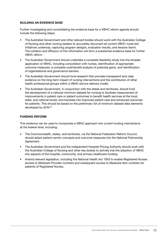#### BUILDING AN EVIDENCE BASE

Further investigating and consolidating the evidence base for a VBHC reform agenda should include the following steps:

- The Australian Government and other relevant bodies should work with the Australian College of Nursing and other nursing leaders to accurately document all current VBHC nurse-led initiatives underway, capturing program designs, evaluation results, and lessons learnt. The collation and diffusion of this information will form a substantial evidence base for further VBHC reform.
- The Australian Government should undertake a complete feasibility study into the broader application of VBHC, including consultation with nurses, identification of appropriate outcome measures, a complete cost/benefit analysis of potential gains, and identification of organisational and governance barriers.
- The Australian Government should fund research that provides transparent and clear evidence on the long-term impact of nursing interventions and the contribution of other health professional groups within a VBHC service delivery model.
- The Australian Government, in conjunction with the states and territories, should fund the development of a national minimum dataset for nursing to facilitate measurement of improvements in patient care or patient outcomes to benefit health services at the local, state, and national levels; and translate into improved patient care and enhanced outcomes for patients. This should be based on the preliminary list of minimum dataset data elements developed by ACN.40

#### FUNDING REFORM

This evidence can be used to incorporate a VBHC approach into current funding mechanisms at the federal level, including:

- The Commonwealth, states, and territories, via the National Federation Reform Council, should adopt patient-centric concepts and outcome measures into the National Partnership Agreement.
- The Australian Government and the Independent Hospital Pricing Authority should work with the Australian College of Nursing and other key bodies to actively trial the adoption of VBHC into aspects of the hospital, community, and primary healthcare funding.
- Amend relevant legislation, including the National Health Act 1953 to enable Registered Nurses access to Medicare Provider numbers and subsequent access to Medicare item numbers for patients of Registered Nurses.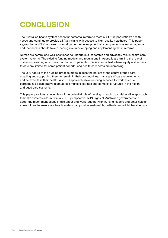### **CONCLUSION**

The Australian health system needs fundamental reform to meet our future population's health needs and continue to provide all Australians with access to high-quality healthcare. This paper argues that a VBHC approach should guide the development of a comprehensive reform agenda and that nurses should take a leading role in developing and implementing these reforms.

Nurses are central and well-positioned to undertake a leadership and advocacy role in health care system reforms. The existing funding models and regulations in Australia are limiting the role of nurses in providing outcomes that matter to patients. This is in a context where equity and access to care are limited for some patient cohorts, and health care costs are increasing.

The very nature of the nursing practice model places the patient at the centre of their care, enabling and supporting them to remain in their communities, manage self-care requirements, and be experts in their health. A VBHC approach allows nursing services to work as equal partners in a collaborative team across multiple settings and complex structures in the health and aged care systems.

This paper provides an overview of the potential role of nursing in leading a collaborative approach to health systems reform from a VBHC perspective. ACN urges all Australian governments to adopt the recommendations in this paper and work together with nursing leaders and other health stakeholders to ensure our health system can provide sustainable, patient-centred, high-value care.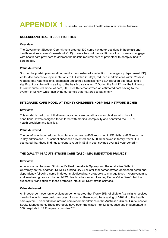### APPENDIX 1 Nurse-led value-based health care initiatives in Australia

#### QUEENSLAND HEALTH LBC PRIORITIES

#### **Overview**

The Government Election Commitment created 400 nurse navigator positions in hospitals and health services across Queensland (QLD) to work beyond the traditional silos of care and engage with health care providers to address the holistic requirements of patients with complex health care needs.

#### Value delivered

Six months post-implementation, results demonstrated a reduction in emergency department (ED) visits, decreased day representations to ED within 28 days, reduced readmissions within 28 days, reduced day readmissions, decreased unplanned admissions via ED, reduced bed days, and a significant cost benefit is saving to the health care system.<sup>41</sup> During the first 12 months following this new nurse-led model of care, QLD Health demonstrated an estimated cost saving to the system of \$876M whilst achieving outcomes that mattered to patients.<sup>42</sup>

#### INTEGRATED CARE MODEL AT SYDNEY CHILDREN'S HOSPITALS NETWORK (SCHN)

#### **Overview**

This model is part of an initiative encouraging care coordination for children with chronic conditions. It was designed for children with medical complexity and benefited the SCHN, health providers and families.

#### Value delivered

The benefits include reduced hospital encounters, a 40% reduction in ED visits, a 42% reduction in day admissions, 370 school absences prevented and 50,000km saved in family travel. It is estimated that these findings amount to roughly \$5M in cost savings over a 2-year period.<sup>43</sup>

#### THE QUALITY IN ACUTE STROKE CARE (QASC) IMPLEMENTATION PROJECT

#### **Overview**

A collaboration between St Vincent's Health Australia Sydney and the Australian Catholic University on the landmark NHMRC-funded QASC cluster trial demonstrated decreased death and dependency following nurse-initiated, multidisciplinary protocols to manage fever, hyperglycaemia, and swallowing post-stroke. An NSW Health collaboration, Leading Better Value Care<sup>44</sup>, led the successful translation of these protocols into all 36 NSW stroke services.

#### Value delivered

An independent economic evaluation demonstrated that if only 65% of eligible Australians received care in line with these protocols over 12 months, there would be a saving of \$281M to the health care system. This work now informs care recommendations in the Australian Clinical Guidelines for Stroke Management. These protocols have been translated into 12 languages and implemented in 300 hospitals in 14 European countries.<sup>45 46 47</sup>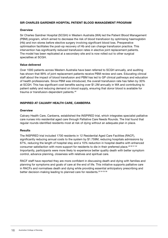#### SIR CHARLES GAIRDNER HOSPITAL PATIENT BLOOD MANAGEMENT PROGRAM

#### **Overview**

Sir Charles Gairdner Hospital (SCGH) in Western Australia (WA) led the Patient Blood Management (PBM) program, which aimed to decrease the risk of blood transfusion by optimising haemoglobin (Hb) and iron stores before elective surgery involving significant blood loss. Preoperative optimisation facilitates the post-op recovery of Hb and can change transfusion practice. This intervention has significantly reduced transfusion rates in elective joint replacement patients. The model has been replicated at a secondary site and is now rolled out to other surgical specialties at SCGH.

#### Value delivered

Over 1000 patients across Western Australia have been referred to SCGH annually, and auditing has shown that 99% of joint replacement patients receive PBM review and care. Educating clinical staff about the impact of blood transfusion and PBM has led to GP clinical pathways and education of health professionals. Since PBM was introduced, the overall transfusion rate has fallen by 30% at SCGH. This has significant cost benefits saving over \$1.2M annually in WA and contributing to patient safety and reducing demand on blood supply, ensuring that donor blood is available for trauma or transfusion-dependent patients.<sup>48</sup>

#### INSPIRED AT CALVARY HEALTH CARE, CANBERRA

#### **Overview**

Calvary Health Care, Canberra, established the INSPIRED trial, which integrates specialist palliative care nurses into residential aged care through Palliative Care Needs Rounds. The trial found that regular rounds identified residents most at risk of dying without an adequate plan in place.

#### **Results**

The INSPIRED trial included 1700 residents in 12 Residential Aged Care Facilities (RACF), significantly reducing annual costs to the system by \$1.759M, reducing hospitals admissions by 67%, reducing the length of hospital stay and a 10% reduction in hospital deaths with enhanced consumer satisfaction with more support for residents to die in their preferred place.<sup>49505152</sup> Importantly, participants were more likely to experience better quality death with better symptom control, advance planning, closeness with relatives and spiritual care.

RACF staff have reported they are more confident in discussing death and dying with families and planning for symptoms and goals of care at the end of life. This initiative supports palliative care in RACFs and normalises death and dying while providing essential anticipatory prescribing and better decision-making leading to planned care for residents.53 54 55 56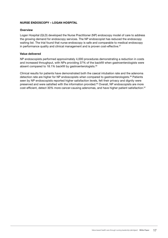#### NURSE ENDOSCOPY – LOGAN HOSPITAL

#### **Overview**

Logan Hospital (QLD) developed the Nurse Practitioner (NP) endoscopy model of care to address the growing demand for endoscopy services. The NP endoscopist has reduced the endoscopy waiting list. The trial found that nurse endoscopy is safe and comparable to medical endoscopy in performance quality and clinical management and is proven cost-effective.<sup>57</sup>

#### Value delivered

NP endoscopists performed approximately 4,000 procedures demonstrating a reduction in costs and increased throughput, with NPs providing 37% of the backfill when gastroenterologists were absent compared to 18.1% backfill by gastroenterologists.<sup>58</sup>

Clinical results for patients have demonstrated both the caecal intubation rate and the adenoma detection rate are higher for NP endoscopists when compared to gastroenterologists.<sup>59</sup> Patients seen by NP endoscopists reported higher satisfaction levels, felt their privacy and dignity were preserved and were satisfied with the information provided.<sup>60</sup> Overall, NP endoscopists are more cost-efficient, detect 30% more cancer-causing adenomas, and have higher patient satisfaction.<sup>61</sup>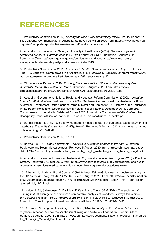### **REFERENCES**

1. Productivity Commission (2017). *Shifting the Dial: 5 year productivity review*. Inquiry Report No. 84. Canberra: Commonwealth of Australia. Retrieved 26 March 2020 from: https://www. pc.gov.au/ inquiries/completed/productivity-review/report/productivity-review.pdf

2. Australian Commission on Safety and Quality in Health Care (2019). *The state of patient safety and quality in Australian hospitals 2019*. Sydney: ACSQHC. Retrieved 6 August 2020, from: https://www.safetyandquality.gov.au/publications-and-resources/ resource-library/ state-patient-safety-and-quality-australian-hospitals-2019

3. Productivity Commission (2015). *Efficiency in Health. Commission Research Paper.* JEL codes: 110, 118. Canberra: Commonwealth of Australia. p45. Retrieved 5 August 2020, from: https://www. pc.gov.au/research/completed/efficiency-health/efficiency-health.pdf

4. Global Access Partners (2019). *Ensuring the sustainability of the Australian health system: Australia's Health 2040 Taskforce Report*. Retrieved 5 August 2020, from: https://www. globalaccesspartners.org/AustraliaHealth2040\_GAPTaskforceReport\_Jul2019.pdf

5. Australian Government. National Health and Hospitals Reform Commission (2009). *A Healthier Future for All Australians: final report.* June 2009. Canberra: Commonwealth of Australia. p58; and Australian Government. Department of Prime Minister and Cabinet (2014). Reform of the Federation: White Paper: Roles and Responsibilities in Health. Issues Paper 3. December 2014. Canberra: Commonwealth of Australia. Retrieved 5 June 2020, from: https:// ahha.asn.au/sites/default/files/ docs/policy-issue/rotf\_issues\_paper\_3\_-\_roles\_and\_ responsibilities\_in\_health.pdf

6. Dunbar-Rees R (2018). Paying for what matters most: the future of outcomes-based payments in healthcare. *Future Healthcare Journal, 5*(2), 98-102. Retrieved 5 August 2020, from: https://pubmed. ncbi.nlm.nih.gov/31098542/

7. Productivity Commission (2017), op. cit.

8. Dawda P (2015). *Bundled payments: Their role in Australian primary health care*. Australian Healthcare and Hospitals Association. Retrieved 5 August 2020, from: https://ahha.asn.au/ sites/ default/files/docs/policy-issue/bundled\_payments\_role\_in\_australian\_primary\_health\_care\_0.pdf

9. Australian Government. Services Australia (2020). Workforce Incentive Program (WIP) – Practice Stream. Retrieved 3 August 2020, from: https://www.servicesaustralia.gov.au/organisations/healthprofessionals/services/medicare/ workforce-incentive-program-wip-practice-stream

10. Atherton JJ, Audehm R and Connell C (2019). Heart Failure Guidelines: A concise summary for the GP. *Medicine Today*, 20 (6); 14-24. Retrieved 5 August 2020, from: https://www. heartfoundation. org.au/getmedia/2d5ec756-8c20-4217-914f-c5ac0a2bc284/Medicine\_ today\_-\_HF\_-\_permission\_ granted\_July\_2019.pdf

11. Halcomb EJ, Salamonson Y, Davidson P, Kaur R and Young SAM (2014). The evolution of nursing in Australian general practice: a comparative analysis of workforce surveys ten years on. *BMC Family Practice*, 15(52). https://doi.org/10.1186/1471-229615-52. Retrieved 5 August 2020, from: https://bmcfampract.biomedcentral.com/ articles/10.1186/1471-2296-15-52

12. Australian Nursing and Midwifery Federation (2014). *National practice standards for nurses in general practice*. Melbourne: Australian Nursing and Midwifery Federation – Federal Office. Retrieved 5 August 2002, from: https://www.anmf.org.au/documents/National\_Practice\_Standards for Nurses in General Practice.pdf \; and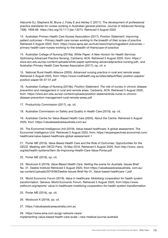Halcomb EJ, Stephens M, Bryce J, Foley E and Ashley C (2017). The development of professional practice standards for nurses working in Australian general practice. *Journal of Advanced Nursing*, 73(8): 1958-69. https://doi.org/10.1111/jan.13274. Retrieved 5 August 2020

13. Australian Primary Health Care Nurses Association (2017). *Position Statement: Improving patient outcomes – Primary health care nurses working to the breadth of their scope of practice.*  Retrieved 5 August 2020, from: https://www.apna.asn.au/hub/news/improvingpatient-outcomes-- primary-health-care-nurses-working-to-the-breadth-of-theirscope-of-practice

14. Australian College of Nursing (2019a). *White Paper: A New Horizon for Health Services: Optimising Advanced Practice Nursing*. Canberra: ACN. Retrieved 5 August 2020, from: https:// www.acn.edu.au/wp-content/uploads/white-paper-optimising-advancedpractice-nursing.pdf.; and Australian Primary Health Care Nurses Association (2017), op. cit. e

15. National Rural Health Alliance (2005). *Advanced nursing practice in rural and remote areas*. Retrieved 5 August 2020, from: https://www.ruralhealth.org.au/sites/default/files/ position-papers/ position-paper-05-07-01.pdf

16. Australian College of Nursing (2019b). *Position Statement: The role of nurses in chronic disease prevention and management in rural and remote areas*. Canberra: ACN. Retrieved 5 August 2020, from: https://www.acn.edu.au/wp-content/uploads/position-statementrole-nurse-in-chronicdisease-prevention-management-rural-remote-areas.pdf

17. Productivity Commission (2017), op. cit.

18. Australian Commission on Safety and Quality in Health Care (2019), op. cit.

19. Australian Centre for Value-Based Health Care (2020). About the Centre. Retrieved 5 August 2020, from: https://valuebasedcareaustralia.com.au/

20. The Economist Intelligence Unit (2018). Value-based healthcare: A global assessment. The Economist Intelligence Unit. Retrieved 5 August 2020, from: https://eiuperspectives.economist.com/ healthcare/value-based-healthcare-global-assessment-1

21. Porter ME (2016). *Value Based Health Care and the Role of Outcomes: Opportunities for the OECD*. Meeting with OECD Paris. 19 May 2016. Retrieved 5 August 2020, from http://www. oecd. org/els/health-systems/Item-3b-Improving-Health-Care-Value-Porter.pdf

22. Porter ME (2016), op. cit.

23. Woolcock K (2019). *Value Based Health Care: Setting the scene for Australia.* Issues Brief No. 31. Deeble Institute Retrieved 5 August 2020, from https://valuebasedcareaustralia. com.au/ wp-content/uploads/2019/06/Deeble-Issues-Brief-No-31\_Value-based-healthcare-1.pdf

24. World Economic Forum (2018). *Value in healthcare: Mobilizing cooperation for health system transformation*. Geneva: World Economic Forum. Retrieved 5 August 2020, from https://www. weforum.org/reports/ value-in-healthcare-mobilizing-cooperation-for-health-system-transformation

25. Porter ME (2016), op. cit.

26. Woolcock K (2019), op. cit.

27. https://valuebasedcareaustralia.com.au

28. https://www.ama.com.au/gp-network-news/ implementing-value-based-health-care-scale—new-medical-journal-australia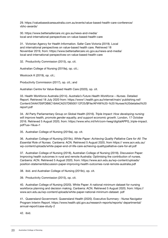29. https://valuebasedcareaustralia.com.au/events/value-based-health-care-conference/ vbhc-awards/

30. https://www.bettersafercare.vic.gov.au/news-and-media/ local-and-international-perspectives-on-value-based-health-care

31. Victorian Agency for Health Information. Safer Care Victoria (2019). Local and international perspectives on value-based health care. Retrieved 18 November 2019, from: https://www.bettersafercare.vic.gov.au/news-and-media/ local-and-international-perspectives-on-value-based-health-care

32. Productivity Commission (2015), op. cit.

Australian College of Nursing (2019a), op. cit.;

Woolcock K (2019), op. cit.;

Productivity Commission (2017), op. cit.; and

Australian Centre for Value-Based Health Care (2020), op. cit.

33. Health Workforce Australia (2014). *Australia's Future Health Workforce – Nurses*. Detailed Report. Retrieved 18 July 2020 from: https://www1.health.gov.au/internet/main/ publishing.nsf/ Content/34AA7E6FDB8C16AACA257D9500112F25/\$File/AFHW%20-%20 Nurses%20detailed%20 report.pdf

34. All Party Parliamentary Group on Global Health (2016). *Triple Impact: How developing nursing will improve health, promote gender equality, and support economic growth.* London, 17 October 2016. Retrieved 5 August 2020, from: https://www.who.int/hrh/com-heeg/digitalAPPG\_triple-impact. pdf?ua=1&ua=1

35. Australian College of Nursing (2019a), op. cit.

36. Australian College of Nursing (2019c). *White Paper: Achieving Quality Palliative Care for All: The Essential Role of Nurses.* Canberra: ACN. Retrieved 5 August 2020, from https:// www.acn.edu.au/ wp-content/uploads/white-paper-end-of-life-care-achieving-qualitypalliative-care-for-all.pdf

37. Australian College of Nursing (2018), Australian College of Nursing (2018). Discussion Paper: Improving health outcomes in rural and remote Australia: Optimising the contribution of nurses. Canberra: ACN. Retrieved 5 August 2020, from: https://www.acn.edu.au/wp-content/uploads/ position-statementdiscussion-paper-improving-health-outcomes-rural-remote-australia.pdf

38. ibid. and Australian College of Nursing (2019c), op. cit.

39. Productivity Commission (2015), op. cit.

40. Australian College of Nursing (2020). White Paper: A national minimum dataset for nursing workforce planning and decision making. Canberra: ACN. Retrieved 5 August 2020, from: https:// www.acn.edu.au/wp-content/uploads/white-paper-national-minimum-dataset. pdf

41. Queensland Government. Queensland Health (2020). Executive Summary - Nurse Navigator Program Interim Report. https://www.health.qld.gov.au/research-reports/reports/ departmental/ annual-report/case-study-2

42. ibid.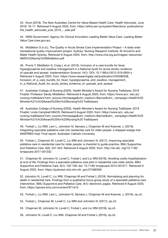43. Anon (2019). The New Australian Centre for Value-Based Health Care. Health Advocate. June 2019: 16-17. Retrieved 6 August 2020, from: https://ahha.asn.au/system/files/docs/ publications/ the health advocate june 2019 - web.pdf

44. NSW Government. Agency for Clinical Innovation Leading Better Value Care. Leading Better Value Care (nsw.gov.au)

45. Middleton S (n.d.). The Quality in Acute Stroke Care Implementation Project – A state wide translational quality improvement project. Sydney: Nursing Research Institute: St Vincent's and Mater Health Sydney. Retrieved 6 August 2020, from: http://www.cha.org.au/images/ resources/ NMS%20Sandy%20Middleton.pdf

46. Purvis T, Middleton S, Craig L et al. (2016). Inclusion of a care bundle for fever, hyperglycaemia and swallow management in a National Audit for acute stroke: evidence of upscale and spread. Implementation Science 14(1). DOI: 10.1186/s13012-019-0934-y Retrieved 5 August 2020, from: https://www.researchgate.net/publication/335586338\_ Inclusion of a care bundle for fever hyperglycaemia and swallow management in\_a\_National\_Audit\_for\_acute\_stroke\_evidence\_of\_upscale\_and\_spread

47. Australian College of Nursing (2020). Health Minister's Award for Nursing Trailblazer. 2019 Finalist: Professor Sandy Middleton. Retrieved 6 August 2020, from: https://www.acn. edu.au/ nursing-trailblazers?utm\_source=Homepage&utm\_medium=Banner&utm\_ campaign=Health%20 Minister%27s%20Award%20for%20Nursing%20 Trailblazers

48. Australian College of Nursing (2020). Health Minister's Award for Nursing Trailblazer. 2019 Finalist: Linda Campbell MACN. Retrieved 6 August 2020, from: https://www.acn. edu.au/ nursing-trailblazers?utm\_source=Homepage&utm\_medium=Banner&utm\_ campaign=Health%20 Minister%27s%20Award%20for%20Nursing%20 Trailblazers

49. Forbat L, Liu WM, Lam L, Johnston N, Samara J, Chapman M and Koerner, J. (2019). Integrating specialist palliative care into residential care for older people: a stepped wedge trial (INSPIRED trial). Final report. Australian Catholic University.

50. Forbat L, Chapman M, Lovell C, Liu WM and Johnston N. (2017). Improving specialist palliative care in residential care for older people: a checklist to guide practice. BMJ Supportive and Palliative Care, 8(3): 347-353. Retrieved 6 August 2020, from: http://dx.doi. org/10.1136/ bmjspcare-2017-001332

51. Chapman M. Johnston N, Lovell C, Forbat L and Liu WM (2018). Avoiding costly hospitalization at end of life: Findings from a specialist palliative care pilot in residential care older adults. BMJ Supportive and Palliative Care. 8(1): 102-109. doi: 10.1136/ bmjspcare-2015-001071. Retrieved 6 August 2020, from: https://pubmed.ncbi.nlm.nih. gov/27496356/

52. Johnston N, Lovell C, Liu WM, Chapman M and Forbat L (2019). Normalising and planning for death in residential care: Findings from a qualitative focus group study of a specialist palliative care intervention. BMJ Supportive and Palliative Care. 9(1): electronic pages. Retrieved 6 August 2020, from: https://spcare.bmj.com/content/9/1/e12

53. Forbat L, Liu WM, Lam L, Johnston N, Samara J, Chapman M and Koerner, J. (2019), op.cit.

- 54. Forbat L, Chapman M, Lovell C, Liu WM and Johnston N. (2017), op.cit.
- 55. Chapman M, Johnston N, Lovell C, Forbat L and Liu WM (2018), op.cit.
- 56. Johnston N, Lovell C, Liu WM, Chapman M and Forbat L (2019), op.cit.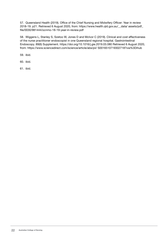57. Queensland Health (2019). Office of the Chief Nursing and Midwifery Officer: Year in review 2018-19. p21. Retrieved 6 August 2020, from: https://www.health.qld.gov.au/\_\_data/ assets/pdf\_ file/0030/981444/ocnmo-18-19-year-in-review.pdf

58. Wiggens L, Stanley S, Szetoo W, Jones D and McIvor C (2019). Clinical and cost effectiveness of the nurse practitioner endoscopist in one Queensland regional hospital. Gastrointestinal Endoscopy. 89(6) Supplement. https://doi.org/10.1016/j.gie.2019.03.080 Retrieved 6 August 2020, from: https://www.sciencedirect.com/science/article/abs/pii/ S0016510719302718?via%3Dihub

59. ibid.

60. ibid.

61. ibid.